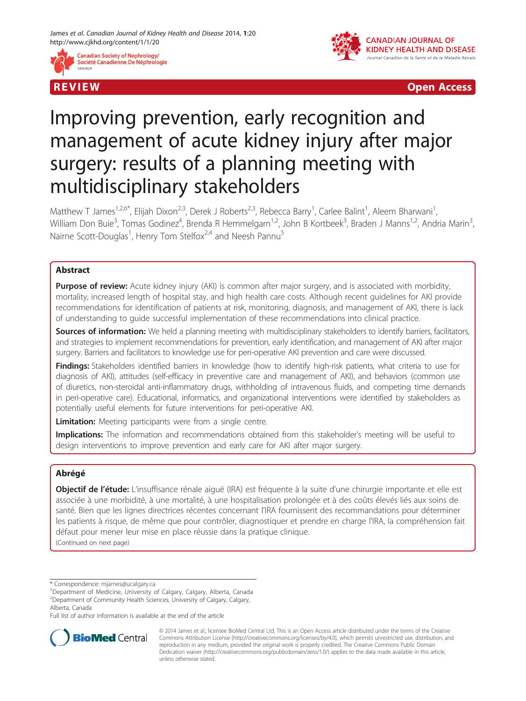





R EVI EW Open Access

# Improving prevention, early recognition and management of acute kidney injury after major surgery: results of a planning meeting with multidisciplinary stakeholders

Matthew T James<sup>1,2,6\*</sup>, Elijah Dixon<sup>2,3</sup>, Derek J Roberts<sup>2,3</sup>, Rebecca Barry<sup>1</sup>, Carlee Balint<sup>1</sup>, Aleem Bharwani<sup>1</sup> , William Don Buie<sup>3</sup>, Tomas Godinez<sup>4</sup>, Brenda R Hemmelgarn<sup>1,2</sup>, John B Kortbeek<sup>3</sup>, Braden J Manns<sup>1,2</sup>, Andria Marin<sup>3</sup> , Nairne Scott-Douglas<sup>1</sup>, Henry Tom Stelfox<sup>2,4</sup> and Neesh Pannu<sup>5</sup>

# Abstract

**Purpose of review:** Acute kidney injury (AKI) is common after major surgery, and is associated with morbidity, mortality, increased length of hospital stay, and high health care costs. Although recent guidelines for AKI provide recommendations for identification of patients at risk, monitoring, diagnosis, and management of AKI, there is lack of understanding to guide successful implementation of these recommendations into clinical practice.

Sources of information: We held a planning meeting with multidisciplinary stakeholders to identify barriers, facilitators, and strategies to implement recommendations for prevention, early identification, and management of AKI after major surgery. Barriers and facilitators to knowledge use for peri-operative AKI prevention and care were discussed.

Findings: Stakeholders identified barriers in knowledge (how to identify high-risk patients, what criteria to use for diagnosis of AKI), attitudes (self-efficacy in preventive care and management of AKI), and behaviors (common use of diuretics, non-steroidal anti-inflammatory drugs, withholding of intravenous fluids, and competing time demands in peri-operative care). Educational, informatics, and organizational interventions were identified by stakeholders as potentially useful elements for future interventions for peri-operative AKI.

Limitation: Meeting participants were from a single centre.

Implications: The information and recommendations obtained from this stakeholder's meeting will be useful to design interventions to improve prevention and early care for AKI after major surgery.

# Abrégé

Objectif de l'étude: L'insuffisance rénale aiguë (IRA) est fréquente à la suite d'une chirurgie importante et elle est associée à une morbidité, à une mortalité, à une hospitalisation prolongée et à des coûts élevés liés aux soins de santé. Bien que les lignes directrices récentes concernant l'IRA fournissent des recommandations pour déterminer les patients à risque, de même que pour contrôler, diagnostiquer et prendre en charge l'IRA, la compréhension fait défaut pour mener leur mise en place réussie dans la pratique clinique.

(Continued on next page)

\* Correspondence: [mjames@ucalgary.ca](mailto:mjames@ucalgary.ca) <sup>1</sup>

Department of Medicine, University of Calgary, Calgary, Alberta, Canada <sup>2</sup> Department of Community Health Sciences, University of Calgary, Calgary, Alberta, Canada

Full list of author information is available at the end of the article



© 2014 James et al.; licensee BioMed Central Ltd. This is an Open Access article distributed under the terms of the Creative Commons Attribution License [\(http://creativecommons.org/licenses/by/4.0\)](http://creativecommons.org/licenses/by/4.0), which permits unrestricted use, distribution, and reproduction in any medium, provided the original work is properly credited. The Creative Commons Public Domain Dedication waiver [\(http://creativecommons.org/publicdomain/zero/1.0/](http://creativecommons.org/publicdomain/zero/1.0/)) applies to the data made available in this article, unless otherwise stated.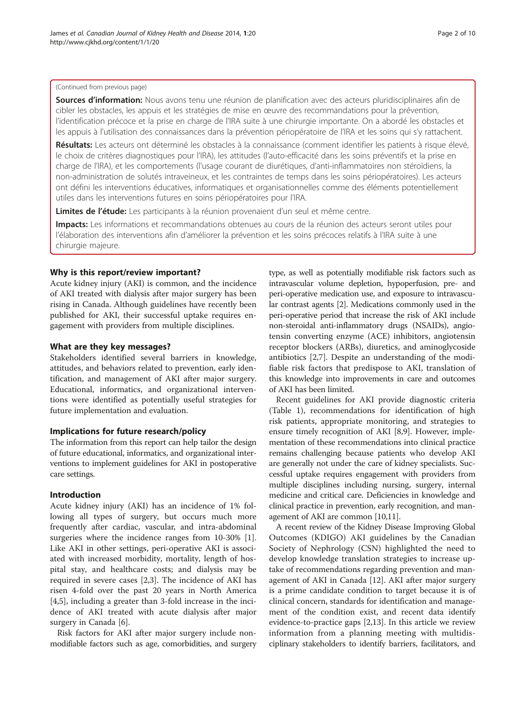### (Continued from previous page)

Sources d'information: Nous avons tenu une réunion de planification avec des acteurs pluridisciplinaires afin de cibler les obstacles, les appuis et les stratégies de mise en œuvre des recommandations pour la prévention, l'identification précoce et la prise en charge de l'IRA suite à une chirurgie importante. On a abordé les obstacles et les appuis à l'utilisation des connaissances dans la prévention périopératoire de l'IRA et les soins qui s'y rattachent.

Résultats: Les acteurs ont déterminé les obstacles à la connaissance (comment identifier les patients à risque élevé, le choix de critères diagnostiques pour l'IRA), les attitudes (l'auto-efficacité dans les soins préventifs et la prise en charge de l'IRA), et les comportements (l'usage courant de diurétiques, d'anti-inflammatoires non stéroïdiens, la non-administration de solutés intraveineux, et les contraintes de temps dans les soins périopératoires). Les acteurs ont défini les interventions éducatives, informatiques et organisationnelles comme des éléments potentiellement utiles dans les interventions futures en soins périopératoires pour l'IRA.

Limites de l'étude: Les participants à la réunion provenaient d'un seul et même centre.

Impacts: Les informations et recommandations obtenues au cours de la réunion des acteurs seront utiles pour l'élaboration des interventions afin d'améliorer la prévention et les soins précoces relatifs à l'IRA suite à une chirurgie majeure.

# Why is this report/review important?

Acute kidney injury (AKI) is common, and the incidence of AKI treated with dialysis after major surgery has been rising in Canada. Although guidelines have recently been published for AKI, their successful uptake requires engagement with providers from multiple disciplines.

# What are they key messages?

Stakeholders identified several barriers in knowledge, attitudes, and behaviors related to prevention, early identification, and management of AKI after major surgery. Educational, informatics, and organizational interventions were identified as potentially useful strategies for future implementation and evaluation.

# Implications for future research/policy

The information from this report can help tailor the design of future educational, informatics, and organizational interventions to implement guidelines for AKI in postoperative care settings.

### Introduction

Acute kidney injury (AKI) has an incidence of 1% following all types of surgery, but occurs much more frequently after cardiac, vascular, and intra-abdominal surgeries where the incidence ranges from 10-30% [\[1](#page-9-0)]. Like AKI in other settings, peri-operative AKI is associated with increased morbidity, mortality, length of hospital stay, and healthcare costs; and dialysis may be required in severe cases [[2](#page-9-0),[3\]](#page-9-0). The incidence of AKI has risen 4-fold over the past 20 years in North America [[4,5\]](#page-9-0), including a greater than 3-fold increase in the incidence of AKI treated with acute dialysis after major surgery in Canada [\[6\]](#page-9-0).

Risk factors for AKI after major surgery include nonmodifiable factors such as age, comorbidities, and surgery

type, as well as potentially modifiable risk factors such as intravascular volume depletion, hypoperfusion, pre- and peri-operative medication use, and exposure to intravascular contrast agents [\[2](#page-9-0)]. Medications commonly used in the peri-operative period that increase the risk of AKI include non-steroidal anti-inflammatory drugs (NSAIDs), angiotensin converting enzyme (ACE) inhibitors, angiotensin receptor blockers (ARBs), diuretics, and aminoglycoside antibiotics [[2,7\]](#page-9-0). Despite an understanding of the modifiable risk factors that predispose to AKI, translation of this knowledge into improvements in care and outcomes of AKI has been limited.

Recent guidelines for AKI provide diagnostic criteria (Table [1\)](#page-2-0), recommendations for identification of high risk patients, appropriate monitoring, and strategies to ensure timely recognition of AKI [[8](#page-9-0),[9\]](#page-9-0). However, implementation of these recommendations into clinical practice remains challenging because patients who develop AKI are generally not under the care of kidney specialists. Successful uptake requires engagement with providers from multiple disciplines including nursing, surgery, internal medicine and critical care. Deficiencies in knowledge and clinical practice in prevention, early recognition, and management of AKI are common [\[10,11\]](#page-9-0).

A recent review of the Kidney Disease Improving Global Outcomes (KDIGO) AKI guidelines by the Canadian Society of Nephrology (CSN) highlighted the need to develop knowledge translation strategies to increase uptake of recommendations regarding prevention and management of AKI in Canada [[12](#page-9-0)]. AKI after major surgery is a prime candidate condition to target because it is of clinical concern, standards for identification and management of the condition exist, and recent data identify evidence-to-practice gaps [[2,13\]](#page-9-0). In this article we review information from a planning meeting with multidisciplinary stakeholders to identify barriers, facilitators, and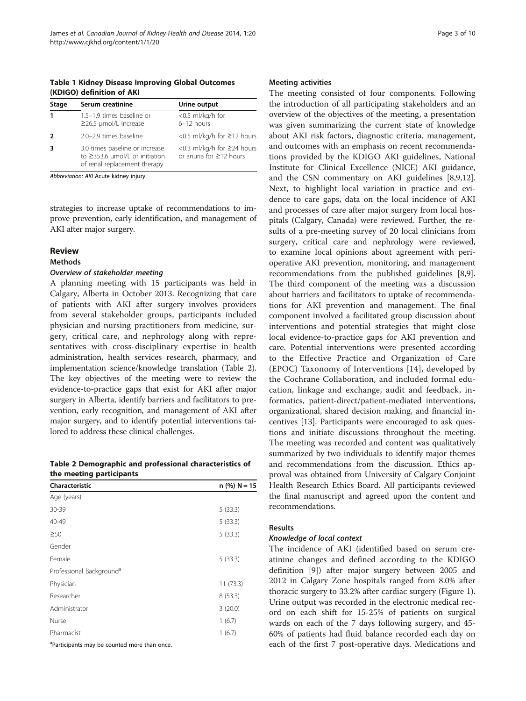<span id="page-2-0"></span>Table 1 Kidney Disease Improving Global Outcomes (KDIGO) definition of AKI

| Stage | Serum creatinine                                                                                       | Urine output                                          |
|-------|--------------------------------------------------------------------------------------------------------|-------------------------------------------------------|
|       | 1.5-1.9 times baseline or<br>$\geq$ 26.5 µmol/L increase                                               | <0.5 ml/kg/h for<br>6-12 hours                        |
| 2     | 2.0-2.9 times baseline                                                                                 | <0.5 ml/kg/h for ≥12 hours                            |
| 3     | 3.0 times baseline or increase<br>to $\geq$ 353.6 µmol/L or initiation<br>of renal replacement therapy | <0.3 ml/kg/h for ≥24 hours<br>or anuria for ≥12 hours |

Abbreviation: AKI Acute kidney injury.

strategies to increase uptake of recommendations to improve prevention, early identification, and management of AKI after major surgery.

### Review

### Methods

### Overview of stakeholder meeting

A planning meeting with 15 participants was held in Calgary, Alberta in October 2013. Recognizing that care of patients with AKI after surgery involves providers from several stakeholder groups, participants included physician and nursing practitioners from medicine, surgery, critical care, and nephrology along with representatives with cross-disciplinary expertise in health administration, health services research, pharmacy, and implementation science/knowledge translation (Table 2). The key objectives of the meeting were to review the evidence-to-practice gaps that exist for AKI after major surgery in Alberta, identify barriers and facilitators to prevention, early recognition, and management of AKI after major surgery, and to identify potential interventions tailored to address these clinical challenges.

Table 2 Demographic and professional characteristics of the meeting participants

| Characteristic                       | $n$ (%) $N = 15$ |  |  |  |
|--------------------------------------|------------------|--|--|--|
| Age (years)                          |                  |  |  |  |
| 30-39                                | 5(33.3)          |  |  |  |
| 40-49                                | 5(33.3)          |  |  |  |
| $\geq 50$                            | 5(33.3)          |  |  |  |
| Gender                               |                  |  |  |  |
| Female                               | 5(33.3)          |  |  |  |
| Professional Background <sup>a</sup> |                  |  |  |  |
| Physician                            | 11(73.3)         |  |  |  |
| Researcher                           | 8(53.3)          |  |  |  |
| Administrator                        | 3(20.0)          |  |  |  |
| Nurse                                | 1(6.7)           |  |  |  |
| Pharmacist                           | 1(6.7)           |  |  |  |

<sup>a</sup>Participants may be counted more than once.

### Meeting activities

The meeting consisted of four components. Following the introduction of all participating stakeholders and an overview of the objectives of the meeting, a presentation was given summarizing the current state of knowledge about AKI risk factors, diagnostic criteria, management, and outcomes with an emphasis on recent recommendations provided by the KDIGO AKI guidelines, National Institute for Clinical Excellence (NICE) AKI guidance, and the CSN commentary on AKI guidelines [\[8,9,12](#page-9-0)]. Next, to highlight local variation in practice and evidence to care gaps, data on the local incidence of AKI and processes of care after major surgery from local hospitals (Calgary, Canada) were reviewed. Further, the results of a pre-meeting survey of 20 local clinicians from surgery, critical care and nephrology were reviewed, to examine local opinions about agreement with perioperative AKI prevention, monitoring, and management recommendations from the published guidelines [\[8,9](#page-9-0)]. The third component of the meeting was a discussion about barriers and facilitators to uptake of recommendations for AKI prevention and management. The final component involved a facilitated group discussion about interventions and potential strategies that might close local evidence-to-practice gaps for AKI prevention and care. Potential interventions were presented according to the Effective Practice and Organization of Care (EPOC) Taxonomy of Interventions [[14\]](#page-9-0), developed by the Cochrane Collaboration, and included formal education, linkage and exchange, audit and feedback, informatics, patient-direct/patient-mediated interventions, organizational, shared decision making, and financial incentives [[13\]](#page-9-0). Participants were encouraged to ask questions and initiate discussions throughout the meeting. The meeting was recorded and content was qualitatively summarized by two individuals to identify major themes and recommendations from the discussion. Ethics approval was obtained from University of Calgary Conjoint Health Research Ethics Board. All participants reviewed the final manuscript and agreed upon the content and recommendations.

# Results

### Knowledge of local context

The incidence of AKI (identified based on serum creatinine changes and defined according to the KDIGO definition [[9\]](#page-9-0)) after major surgery between 2005 and 2012 in Calgary Zone hospitals ranged from 8.0% after thoracic surgery to 33.2% after cardiac surgery (Figure [1](#page-3-0)). Urine output was recorded in the electronic medical record on each shift for 15-25% of patients on surgical wards on each of the 7 days following surgery, and 45- 60% of patients had fluid balance recorded each day on each of the first 7 post-operative days. Medications and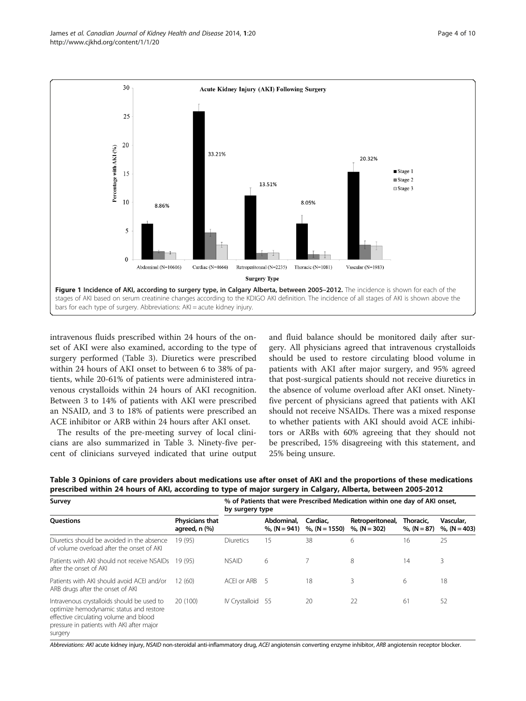<span id="page-3-0"></span>

intravenous fluids prescribed within 24 hours of the onset of AKI were also examined, according to the type of surgery performed (Table 3). Diuretics were prescribed within 24 hours of AKI onset to between 6 to 38% of patients, while 20-61% of patients were administered intravenous crystalloids within 24 hours of AKI recognition. Between 3 to 14% of patients with AKI were prescribed an NSAID, and 3 to 18% of patients were prescribed an ACE inhibitor or ARB within 24 hours after AKI onset.

The results of the pre-meeting survey of local clinicians are also summarized in Table 3. Ninety-five percent of clinicians surveyed indicated that urine output and fluid balance should be monitored daily after surgery. All physicians agreed that intravenous crystalloids should be used to restore circulating blood volume in patients with AKI after major surgery, and 95% agreed that post-surgical patients should not receive diuretics in the absence of volume overload after AKI onset. Ninetyfive percent of physicians agreed that patients with AKI should not receive NSAIDs. There was a mixed response to whether patients with AKI should avoid ACE inhibitors or ARBs with 60% agreeing that they should not be prescribed, 15% disagreeing with this statement, and 25% being unsure.

|                                                                                                              |  |  | Table 3 Opinions of care providers about medications use after onset of AKI and the proportions of these medications |
|--------------------------------------------------------------------------------------------------------------|--|--|----------------------------------------------------------------------------------------------------------------------|
| prescribed within 24 hours of AKI, according to type of major surgery in Calgary, Alberta, between 2005-2012 |  |  |                                                                                                                      |

| Survey                                                                                                                                                                                  | % of Patients that were Prescribed Medication within one day of AKI onset,<br>by surgery type |                   |                               |                               |                                     |                             |                              |
|-----------------------------------------------------------------------------------------------------------------------------------------------------------------------------------------|-----------------------------------------------------------------------------------------------|-------------------|-------------------------------|-------------------------------|-------------------------------------|-----------------------------|------------------------------|
| <b>Ouestions</b>                                                                                                                                                                        | Physicians that<br>agreed, n (%)                                                              |                   | Abdominal,<br>$%$ , (N = 941) | Cardiac,<br>%, ( $N = 1550$ ) | Retroperitoneal,<br>$%$ , (N = 302) | Thoracic,<br>$%$ , (N = 87) | Vascular.<br>$%$ , (N = 403) |
| Diuretics should be avoided in the absence<br>of volume overload after the onset of AKI                                                                                                 | 19 (95)                                                                                       | <b>Diuretics</b>  | 15                            | 38                            | 6                                   | 16                          | 25                           |
| Patients with AKI should not receive NSAIDs 19 (95)<br>after the onset of AKI                                                                                                           |                                                                                               | <b>NSAID</b>      | 6                             |                               | 8                                   | 14                          | 3                            |
| Patients with AKI should avoid ACEI and/or<br>ARB drugs after the onset of AKI                                                                                                          | 12(60)                                                                                        | ACFI or ARB       | 5                             | 18                            | 3                                   | 6                           | 18                           |
| Intravenous crystalloids should be used to<br>optimize hemodynamic status and restore<br>effective circulating volume and blood<br>pressure in patients with AKI after major<br>surgery | 20 (100)                                                                                      | IV Crystalloid 55 |                               | 20                            | 22                                  | 61                          | 52                           |

Abbreviations: AKI acute kidney injury, NSAID non-steroidal anti-inflammatory drug, ACEI angiotensin converting enzyme inhibitor, ARB angiotensin receptor blocker.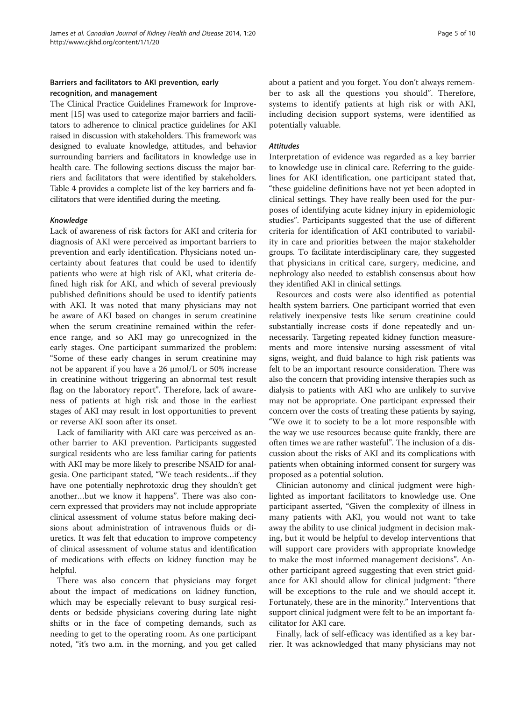# Barriers and facilitators to AKI prevention, early recognition, and management

The Clinical Practice Guidelines Framework for Improvement [\[15\]](#page-9-0) was used to categorize major barriers and facilitators to adherence to clinical practice guidelines for AKI raised in discussion with stakeholders. This framework was designed to evaluate knowledge, attitudes, and behavior surrounding barriers and facilitators in knowledge use in health care. The following sections discuss the major barriers and facilitators that were identified by stakeholders. Table [4](#page-5-0) provides a complete list of the key barriers and facilitators that were identified during the meeting.

# Knowledge

Lack of awareness of risk factors for AKI and criteria for diagnosis of AKI were perceived as important barriers to prevention and early identification. Physicians noted uncertainty about features that could be used to identify patients who were at high risk of AKI, what criteria defined high risk for AKI, and which of several previously published definitions should be used to identify patients with AKI. It was noted that many physicians may not be aware of AKI based on changes in serum creatinine when the serum creatinine remained within the reference range, and so AKI may go unrecognized in the early stages. One participant summarized the problem: "Some of these early changes in serum creatinine may not be apparent if you have a 26 μmol/L or 50% increase in creatinine without triggering an abnormal test result flag on the laboratory report". Therefore, lack of awareness of patients at high risk and those in the earliest stages of AKI may result in lost opportunities to prevent or reverse AKI soon after its onset.

Lack of familiarity with AKI care was perceived as another barrier to AKI prevention. Participants suggested surgical residents who are less familiar caring for patients with AKI may be more likely to prescribe NSAID for analgesia. One participant stated, "We teach residents…if they have one potentially nephrotoxic drug they shouldn't get another…but we know it happens". There was also concern expressed that providers may not include appropriate clinical assessment of volume status before making decisions about administration of intravenous fluids or diuretics. It was felt that education to improve competency of clinical assessment of volume status and identification of medications with effects on kidney function may be helpful.

There was also concern that physicians may forget about the impact of medications on kidney function, which may be especially relevant to busy surgical residents or bedside physicians covering during late night shifts or in the face of competing demands, such as needing to get to the operating room. As one participant noted, "it's two a.m. in the morning, and you get called

# Attitudes

Interpretation of evidence was regarded as a key barrier to knowledge use in clinical care. Referring to the guidelines for AKI identification, one participant stated that, "these guideline definitions have not yet been adopted in clinical settings. They have really been used for the purposes of identifying acute kidney injury in epidemiologic studies". Participants suggested that the use of different criteria for identification of AKI contributed to variability in care and priorities between the major stakeholder groups. To facilitate interdisciplinary care, they suggested that physicians in critical care, surgery, medicine, and nephrology also needed to establish consensus about how they identified AKI in clinical settings.

Resources and costs were also identified as potential health system barriers. One participant worried that even relatively inexpensive tests like serum creatinine could substantially increase costs if done repeatedly and unnecessarily. Targeting repeated kidney function measurements and more intensive nursing assessment of vital signs, weight, and fluid balance to high risk patients was felt to be an important resource consideration. There was also the concern that providing intensive therapies such as dialysis to patients with AKI who are unlikely to survive may not be appropriate. One participant expressed their concern over the costs of treating these patients by saying, "We owe it to society to be a lot more responsible with the way we use resources because quite frankly, there are often times we are rather wasteful". The inclusion of a discussion about the risks of AKI and its complications with patients when obtaining informed consent for surgery was proposed as a potential solution.

Clinician autonomy and clinical judgment were highlighted as important facilitators to knowledge use. One participant asserted, "Given the complexity of illness in many patients with AKI, you would not want to take away the ability to use clinical judgment in decision making, but it would be helpful to develop interventions that will support care providers with appropriate knowledge to make the most informed management decisions". Another participant agreed suggesting that even strict guidance for AKI should allow for clinical judgment: "there will be exceptions to the rule and we should accept it. Fortunately, these are in the minority." Interventions that support clinical judgment were felt to be an important facilitator for AKI care.

Finally, lack of self-efficacy was identified as a key barrier. It was acknowledged that many physicians may not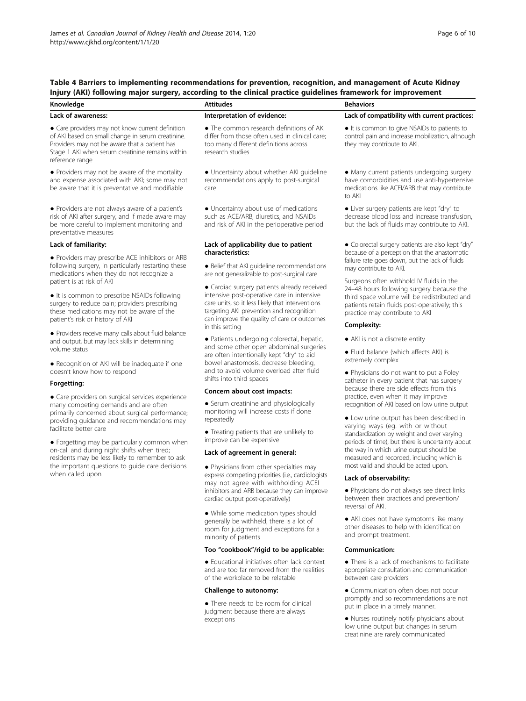# <span id="page-5-0"></span>Table 4 Barriers to implementing recommendations for prevention, recognition, and management of Acute Kidney Injury (AKI) following major surgery, according to the clinical practice guidelines framework for improvement

| Knowledge                                                                                                                                                                                                                     | <b>Attitudes</b>                                                                                                                                                                                                                                            | <b>Behaviors</b>                                                                                                                                                                                                                                                                                                                                                    |  |  |
|-------------------------------------------------------------------------------------------------------------------------------------------------------------------------------------------------------------------------------|-------------------------------------------------------------------------------------------------------------------------------------------------------------------------------------------------------------------------------------------------------------|---------------------------------------------------------------------------------------------------------------------------------------------------------------------------------------------------------------------------------------------------------------------------------------------------------------------------------------------------------------------|--|--|
| <b>Lack of awareness:</b>                                                                                                                                                                                                     | Interpretation of evidence:                                                                                                                                                                                                                                 | Lack of compatibility with current practices:<br>• It is common to give NSAIDs to patients to<br>control pain and increase mobilization, although<br>they may contribute to AKI.                                                                                                                                                                                    |  |  |
| • Care providers may not know current definition<br>of AKI based on small change in serum creatinine.<br>Providers may not be aware that a patient has<br>Stage 1 AKI when serum creatinine remains within<br>reference range | • The common research definitions of AKI<br>differ from those often used in clinical care;<br>too many different definitions across<br>research studies                                                                                                     |                                                                                                                                                                                                                                                                                                                                                                     |  |  |
| • Providers may not be aware of the mortality<br>and expense associated with AKI; some may not<br>be aware that it is preventative and modifiable                                                                             | • Uncertainty about whether AKI guideline<br>recommendations apply to post-surgical<br>care                                                                                                                                                                 | • Many current patients undergoing surgery<br>have comorbidities and use anti-hypertensive<br>medications like ACEI/ARB that may contribute<br>to AKI                                                                                                                                                                                                               |  |  |
| • Providers are not always aware of a patient's<br>risk of AKI after surgery, and if made aware may<br>be more careful to implement monitoring and<br>preventative measures                                                   | • Uncertainty about use of medications<br>such as ACE/ARB, diuretics, and NSAIDs<br>and risk of AKI in the perioperative period                                                                                                                             | • Liver surgery patients are kept "dry" to<br>decrease blood loss and increase transfusion,<br>but the lack of fluids may contribute to AKI.                                                                                                                                                                                                                        |  |  |
| Lack of familiarity:                                                                                                                                                                                                          | Lack of applicability due to patient                                                                                                                                                                                                                        | · Colorectal surgery patients are also kept "dry"                                                                                                                                                                                                                                                                                                                   |  |  |
| • Providers may prescribe ACE inhibitors or ARB                                                                                                                                                                               | characteristics:                                                                                                                                                                                                                                            | because of a perception that the anastomotic<br>failure rate goes down, but the lack of fluids<br>may contribute to AKI.<br>Surgeons often withhold IV fluids in the<br>24-48 hours following surgery because the<br>third space volume will be redistributed and<br>patients retain fluids post-operatively; this<br>practice may contribute to AKI<br>Complexity: |  |  |
| following surgery, in particularly restarting these<br>medications when they do not recognize a                                                                                                                               | • Belief that AKI quideline recommendations<br>are not generalizable to post-surgical care                                                                                                                                                                  |                                                                                                                                                                                                                                                                                                                                                                     |  |  |
| patient is at risk of AKI<br>• It is common to prescribe NSAIDs following<br>surgery to reduce pain; providers prescribing<br>these medications may not be aware of the<br>patient's risk or history of AKI                   | • Cardiac surgery patients already received<br>intensive post-operative care in intensive<br>care units, so it less likely that interventions<br>targeting AKI prevention and recognition<br>can improve the quality of care or outcomes<br>in this setting |                                                                                                                                                                                                                                                                                                                                                                     |  |  |
| · Providers receive many calls about fluid balance<br>and output, but may lack skills in determining                                                                                                                          | · Patients undergoing colorectal, hepatic,                                                                                                                                                                                                                  | • AKI is not a discrete entity                                                                                                                                                                                                                                                                                                                                      |  |  |
| volume status                                                                                                                                                                                                                 | and some other open abdominal surgeries<br>are often intentionally kept "dry" to aid                                                                                                                                                                        | • Fluid balance (which affects AKI) is<br>extremely complex                                                                                                                                                                                                                                                                                                         |  |  |
| • Recognition of AKI will be inadequate if one<br>doesn't know how to respond                                                                                                                                                 | bowel anastomosis, decrease bleeding,<br>and to avoid volume overload after fluid                                                                                                                                                                           | • Physicians do not want to put a Foley                                                                                                                                                                                                                                                                                                                             |  |  |
| Forgetting:                                                                                                                                                                                                                   | shifts into third spaces                                                                                                                                                                                                                                    | catheter in every patient that has surgery<br>because there are side effects from this<br>practice, even when it may improve<br>recognition of AKI based on low urine output<br>• Low urine output has been described in<br>varying ways (eg. with or without<br>standardization by weight and over varying                                                         |  |  |
| • Care providers on surgical services experience<br>many competing demands and are often<br>primarily concerned about surgical performance;<br>providing guidance and recommendations may                                     | Concern about cost impacts:<br>• Serum creatinine and physiologically<br>monitoring will increase costs if done<br>repeatedly                                                                                                                               |                                                                                                                                                                                                                                                                                                                                                                     |  |  |
| facilitate better care                                                                                                                                                                                                        | • Treating patients that are unlikely to<br>improve can be expensive                                                                                                                                                                                        |                                                                                                                                                                                                                                                                                                                                                                     |  |  |
| • Forgetting may be particularly common when<br>on-call and during night shifts when tired;<br>residents may be less likely to remember to ask<br>the important questions to quide care decisions                             | Lack of agreement in general:<br>· Physicians from other specialties may                                                                                                                                                                                    | periods of time), but there is uncertainty about<br>the way in which urine output should be<br>measured and recorded, including which is<br>most valid and should be acted upon.                                                                                                                                                                                    |  |  |
| when called upon                                                                                                                                                                                                              | express competing priorities (i.e., cardiologists<br>may not agree with withholding ACEI                                                                                                                                                                    | Lack of observability:                                                                                                                                                                                                                                                                                                                                              |  |  |
|                                                                                                                                                                                                                               | inhibitors and ARB because they can improve<br>cardiac output post-operatively)                                                                                                                                                                             | · Physicians do not always see direct links<br>between their practices and prevention/<br>reversal of AKI.                                                                                                                                                                                                                                                          |  |  |
|                                                                                                                                                                                                                               | • While some medication types should<br>generally be withheld, there is a lot of<br>room for judgment and exceptions for a<br>minority of patients                                                                                                          | • AKI does not have symptoms like many<br>other diseases to help with identification<br>and prompt treatment.                                                                                                                                                                                                                                                       |  |  |
|                                                                                                                                                                                                                               | Too "cookbook"/rigid to be applicable:                                                                                                                                                                                                                      | <b>Communication:</b>                                                                                                                                                                                                                                                                                                                                               |  |  |
|                                                                                                                                                                                                                               | • Educational initiatives often lack context<br>and are too far removed from the realities<br>of the workplace to be relatable                                                                                                                              | • There is a lack of mechanisms to facilitate<br>appropriate consultation and communication<br>between care providers                                                                                                                                                                                                                                               |  |  |
|                                                                                                                                                                                                                               | Challenge to autonomy:                                                                                                                                                                                                                                      | • Communication often does not occur                                                                                                                                                                                                                                                                                                                                |  |  |
|                                                                                                                                                                                                                               | • There needs to be room for clinical<br>judgment because there are always                                                                                                                                                                                  | promptly and so recommendations are not<br>put in place in a timely manner.                                                                                                                                                                                                                                                                                         |  |  |
|                                                                                                                                                                                                                               | exceptions                                                                                                                                                                                                                                                  | . Nurses routinely notify physicians about<br>low urine output but changes in serum                                                                                                                                                                                                                                                                                 |  |  |

creatinine are rarely communicated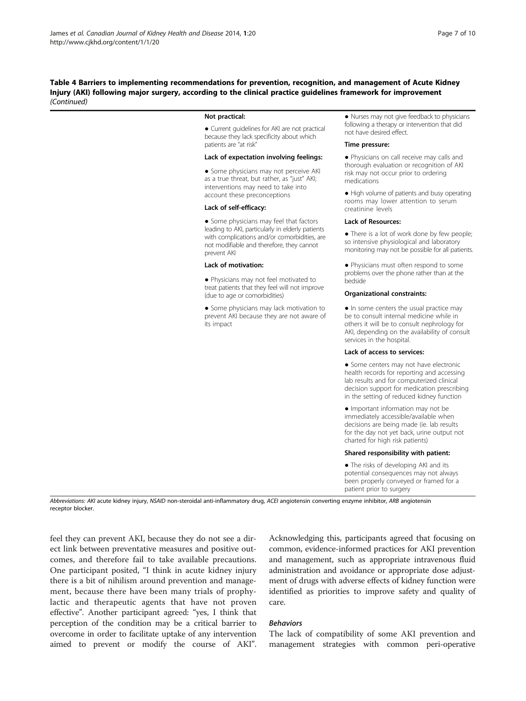# Table 4 Barriers to implementing recommendations for prevention, recognition, and management of Acute Kidney Injury (AKI) following major surgery, according to the clinical practice guidelines framework for improvement (Continued)

• Current guidelines for AKI are not practical because they lack specificity about which patients are "at risk" Time pressure:

• Some physicians may not perceive AKI as a true threat, but rather, as "just" AKI; interventions may need to take into account these preconceptions <br>  $\bullet$  High volume of patients and busy operating

• Some physicians may feel that factors **Lack of Resources:** leading to AKI, particularly in elderly patients with complications and/or comorbidities, are not modifiable and therefore, they cannot prevent AKI

• Physicians may not feel motivated to bedside treat patients that they feel will not improve (due to age or comorbidities) **Organizational constraints:** 

● Some physicians may lack motivation to prevent AKI because they are not aware of its impact

Not practical: **All any strategies of the Secure 1** Aures may not give feedback to physicians following a therapy or intervention that did

Lack of expectation involving feelings: •• Physicians on call receive may calls and thorough evaluation or recognition of AKI risk may not occur prior to ordering medications

**EXECUTE MANUSE PRESENTING THE SERVICE COMPUTER IN THE COMPUTER COMPUTER** FOOMS may lower attention to serum

• There is a lot of work done by few people; so intensive physiological and laboratory monitoring may not be possible for all patients.

**Lack of motivation:** <br> **•** Physicians must often respond to some problems over the phone rather than at the

● In some centers the usual practice may be to consult internal medicine while in others it will be to consult nephrology for AKI, depending on the availability of consult services in the hospital.

### Lack of access to services:

● Some centers may not have electronic health records for reporting and accessing lab results and for computerized clinical decision support for medication prescribing in the setting of reduced kidney function

● Important information may not be immediately accessible/available when decisions are being made (ie. lab results for the day not yet back, urine output not charted for high risk patients)

# Shared responsibility with patient:

• The risks of developing AKI and its potential consequences may not always been properly conveyed or framed for a patient prior to surgery

Abbreviations: AKI acute kidney injury, NSAID non-steroidal anti-inflammatory drug, ACEI angiotensin converting enzyme inhibitor, ARB angiotensin receptor blocker.

feel they can prevent AKI, because they do not see a direct link between preventative measures and positive outcomes, and therefore fail to take available precautions. One participant posited, "I think in acute kidney injury there is a bit of nihilism around prevention and management, because there have been many trials of prophylactic and therapeutic agents that have not proven effective". Another participant agreed: "yes, I think that perception of the condition may be a critical barrier to overcome in order to facilitate uptake of any intervention aimed to prevent or modify the course of AKI".

Acknowledging this, participants agreed that focusing on common, evidence-informed practices for AKI prevention and management, such as appropriate intravenous fluid administration and avoidance or appropriate dose adjustment of drugs with adverse effects of kidney function were identified as priorities to improve safety and quality of care.

# **Behaviors**

The lack of compatibility of some AKI prevention and management strategies with common peri-operative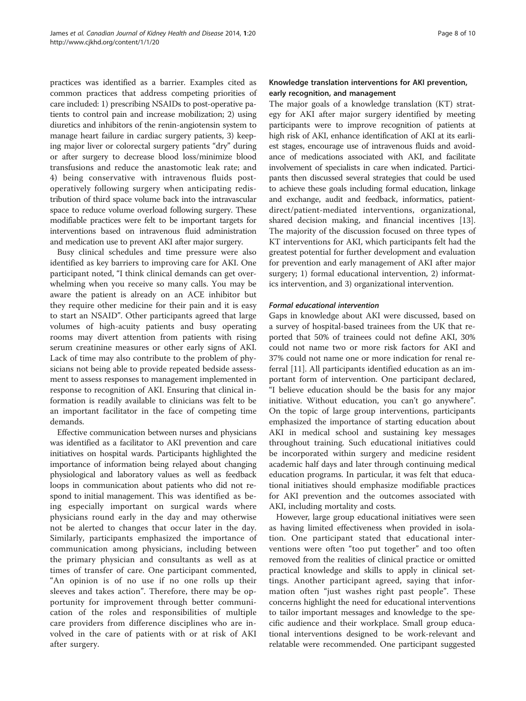practices was identified as a barrier. Examples cited as common practices that address competing priorities of care included: 1) prescribing NSAIDs to post-operative patients to control pain and increase mobilization; 2) using diuretics and inhibitors of the renin-angiotensin system to manage heart failure in cardiac surgery patients, 3) keeping major liver or colorectal surgery patients "dry" during or after surgery to decrease blood loss/minimize blood transfusions and reduce the anastomotic leak rate; and 4) being conservative with intravenous fluids postoperatively following surgery when anticipating redistribution of third space volume back into the intravascular space to reduce volume overload following surgery. These modifiable practices were felt to be important targets for interventions based on intravenous fluid administration and medication use to prevent AKI after major surgery.

Busy clinical schedules and time pressure were also identified as key barriers to improving care for AKI. One participant noted, "I think clinical demands can get overwhelming when you receive so many calls. You may be aware the patient is already on an ACE inhibitor but they require other medicine for their pain and it is easy to start an NSAID". Other participants agreed that large volumes of high-acuity patients and busy operating rooms may divert attention from patients with rising serum creatinine measures or other early signs of AKI. Lack of time may also contribute to the problem of physicians not being able to provide repeated bedside assessment to assess responses to management implemented in response to recognition of AKI. Ensuring that clinical information is readily available to clinicians was felt to be an important facilitator in the face of competing time demands.

Effective communication between nurses and physicians was identified as a facilitator to AKI prevention and care initiatives on hospital wards. Participants highlighted the importance of information being relayed about changing physiological and laboratory values as well as feedback loops in communication about patients who did not respond to initial management. This was identified as being especially important on surgical wards where physicians round early in the day and may otherwise not be alerted to changes that occur later in the day. Similarly, participants emphasized the importance of communication among physicians, including between the primary physician and consultants as well as at times of transfer of care. One participant commented, "An opinion is of no use if no one rolls up their sleeves and takes action". Therefore, there may be opportunity for improvement through better communication of the roles and responsibilities of multiple care providers from difference disciplines who are involved in the care of patients with or at risk of AKI after surgery.

# Knowledge translation interventions for AKI prevention, early recognition, and management

The major goals of a knowledge translation (KT) strategy for AKI after major surgery identified by meeting participants were to improve recognition of patients at high risk of AKI, enhance identification of AKI at its earliest stages, encourage use of intravenous fluids and avoidance of medications associated with AKI, and facilitate involvement of specialists in care when indicated. Participants then discussed several strategies that could be used to achieve these goals including formal education, linkage and exchange, audit and feedback, informatics, patientdirect/patient-mediated interventions, organizational, shared decision making, and financial incentives [[13](#page-9-0)]. The majority of the discussion focused on three types of KT interventions for AKI, which participants felt had the greatest potential for further development and evaluation for prevention and early management of AKI after major surgery; 1) formal educational intervention, 2) informatics intervention, and 3) organizational intervention.

# Formal educational intervention

Gaps in knowledge about AKI were discussed, based on a survey of hospital-based trainees from the UK that reported that 50% of trainees could not define AKI, 30% could not name two or more risk factors for AKI and 37% could not name one or more indication for renal referral [\[11](#page-9-0)]. All participants identified education as an important form of intervention. One participant declared, "I believe education should be the basis for any major initiative. Without education, you can't go anywhere". On the topic of large group interventions, participants emphasized the importance of starting education about AKI in medical school and sustaining key messages throughout training. Such educational initiatives could be incorporated within surgery and medicine resident academic half days and later through continuing medical education programs. In particular, it was felt that educational initiatives should emphasize modifiable practices for AKI prevention and the outcomes associated with AKI, including mortality and costs.

However, large group educational initiatives were seen as having limited effectiveness when provided in isolation. One participant stated that educational interventions were often "too put together" and too often removed from the realities of clinical practice or omitted practical knowledge and skills to apply in clinical settings. Another participant agreed, saying that information often "just washes right past people". These concerns highlight the need for educational interventions to tailor important messages and knowledge to the specific audience and their workplace. Small group educational interventions designed to be work-relevant and relatable were recommended. One participant suggested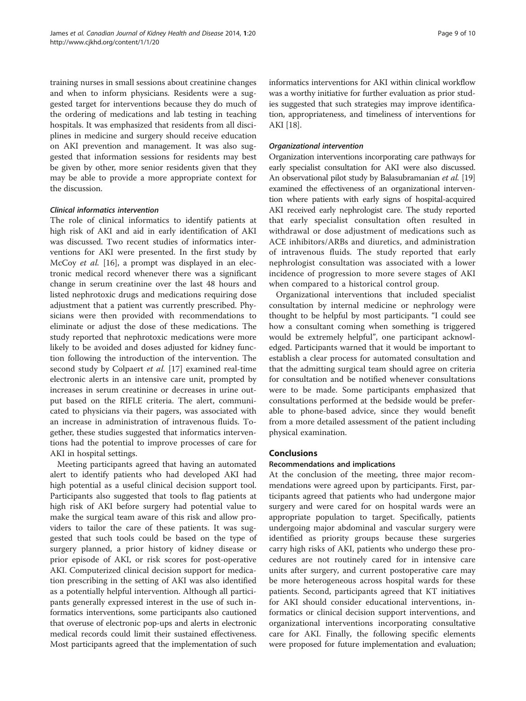training nurses in small sessions about creatinine changes and when to inform physicians. Residents were a suggested target for interventions because they do much of the ordering of medications and lab testing in teaching hospitals. It was emphasized that residents from all disciplines in medicine and surgery should receive education on AKI prevention and management. It was also suggested that information sessions for residents may best be given by other, more senior residents given that they may be able to provide a more appropriate context for the discussion.

# Clinical informatics intervention

The role of clinical informatics to identify patients at high risk of AKI and aid in early identification of AKI was discussed. Two recent studies of informatics interventions for AKI were presented. In the first study by McCoy et al. [[16\]](#page-9-0), a prompt was displayed in an electronic medical record whenever there was a significant change in serum creatinine over the last 48 hours and listed nephrotoxic drugs and medications requiring dose adjustment that a patient was currently prescribed. Physicians were then provided with recommendations to eliminate or adjust the dose of these medications. The study reported that nephrotoxic medications were more likely to be avoided and doses adjusted for kidney function following the introduction of the intervention. The second study by Colpaert et al. [\[17\]](#page-9-0) examined real-time electronic alerts in an intensive care unit, prompted by increases in serum creatinine or decreases in urine output based on the RIFLE criteria. The alert, communicated to physicians via their pagers, was associated with an increase in administration of intravenous fluids. Together, these studies suggested that informatics interventions had the potential to improve processes of care for AKI in hospital settings.

Meeting participants agreed that having an automated alert to identify patients who had developed AKI had high potential as a useful clinical decision support tool. Participants also suggested that tools to flag patients at high risk of AKI before surgery had potential value to make the surgical team aware of this risk and allow providers to tailor the care of these patients. It was suggested that such tools could be based on the type of surgery planned, a prior history of kidney disease or prior episode of AKI, or risk scores for post-operative AKI. Computerized clinical decision support for medication prescribing in the setting of AKI was also identified as a potentially helpful intervention. Although all participants generally expressed interest in the use of such informatics interventions, some participants also cautioned that overuse of electronic pop-ups and alerts in electronic medical records could limit their sustained effectiveness. Most participants agreed that the implementation of such

# Organizational intervention

Organization interventions incorporating care pathways for early specialist consultation for AKI were also discussed. An observational pilot study by Balasubramanian et al. [\[19](#page-9-0)] examined the effectiveness of an organizational intervention where patients with early signs of hospital-acquired AKI received early nephrologist care. The study reported that early specialist consultation often resulted in withdrawal or dose adjustment of medications such as ACE inhibitors/ARBs and diuretics, and administration of intravenous fluids. The study reported that early nephrologist consultation was associated with a lower incidence of progression to more severe stages of AKI when compared to a historical control group.

Organizational interventions that included specialist consultation by internal medicine or nephrology were thought to be helpful by most participants. "I could see how a consultant coming when something is triggered would be extremely helpful", one participant acknowledged. Participants warned that it would be important to establish a clear process for automated consultation and that the admitting surgical team should agree on criteria for consultation and be notified whenever consultations were to be made. Some participants emphasized that consultations performed at the bedside would be preferable to phone-based advice, since they would benefit from a more detailed assessment of the patient including physical examination.

# Conclusions

# Recommendations and implications

At the conclusion of the meeting, three major recommendations were agreed upon by participants. First, participants agreed that patients who had undergone major surgery and were cared for on hospital wards were an appropriate population to target. Specifically, patients undergoing major abdominal and vascular surgery were identified as priority groups because these surgeries carry high risks of AKI, patients who undergo these procedures are not routinely cared for in intensive care units after surgery, and current postoperative care may be more heterogeneous across hospital wards for these patients. Second, participants agreed that KT initiatives for AKI should consider educational interventions, informatics or clinical decision support interventions, and organizational interventions incorporating consultative care for AKI. Finally, the following specific elements were proposed for future implementation and evaluation;